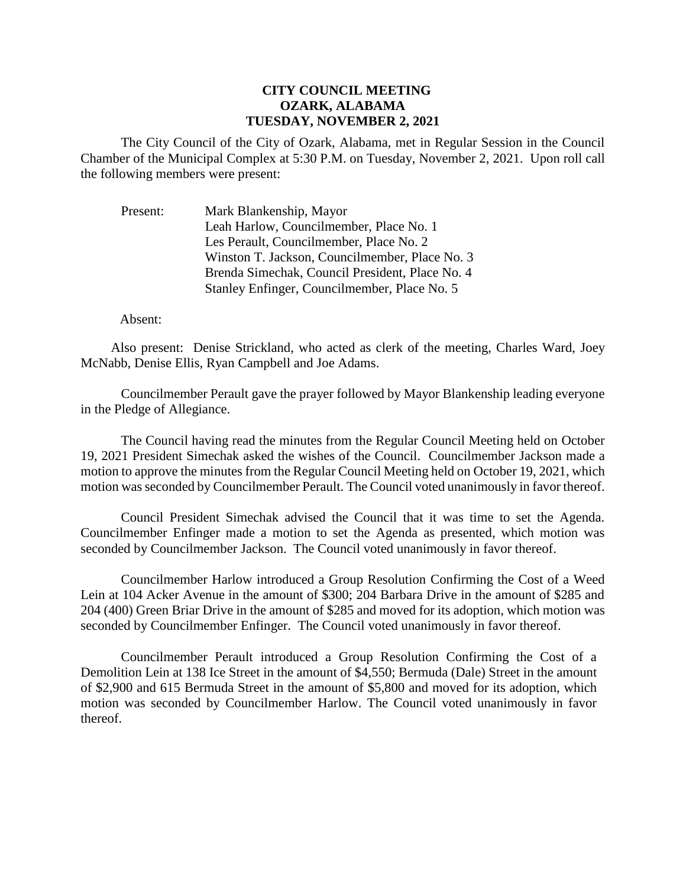## **CITY COUNCIL MEETING OZARK, ALABAMA TUESDAY, NOVEMBER 2, 2021**

The City Council of the City of Ozark, Alabama, met in Regular Session in the Council Chamber of the Municipal Complex at 5:30 P.M. on Tuesday, November 2, 2021. Upon roll call the following members were present:

Present: Mark Blankenship, Mayor Leah Harlow, Councilmember, Place No. 1 Les Perault, Councilmember, Place No. 2 Winston T. Jackson, Councilmember, Place No. 3 Brenda Simechak, Council President, Place No. 4 Stanley Enfinger, Councilmember, Place No. 5

## Absent:

Also present: Denise Strickland, who acted as clerk of the meeting, Charles Ward, Joey McNabb, Denise Ellis, Ryan Campbell and Joe Adams.

Councilmember Perault gave the prayer followed by Mayor Blankenship leading everyone in the Pledge of Allegiance.

The Council having read the minutes from the Regular Council Meeting held on October 19, 2021 President Simechak asked the wishes of the Council. Councilmember Jackson made a motion to approve the minutes from the Regular Council Meeting held on October 19, 2021, which motion was seconded by Councilmember Perault. The Council voted unanimously in favor thereof.

Council President Simechak advised the Council that it was time to set the Agenda. Councilmember Enfinger made a motion to set the Agenda as presented, which motion was seconded by Councilmember Jackson. The Council voted unanimously in favor thereof.

Councilmember Harlow introduced a Group Resolution Confirming the Cost of a Weed Lein at 104 Acker Avenue in the amount of \$300; 204 Barbara Drive in the amount of \$285 and 204 (400) Green Briar Drive in the amount of \$285 and moved for its adoption, which motion was seconded by Councilmember Enfinger. The Council voted unanimously in favor thereof.

Councilmember Perault introduced a Group Resolution Confirming the Cost of a Demolition Lein at 138 Ice Street in the amount of \$4,550; Bermuda (Dale) Street in the amount of \$2,900 and 615 Bermuda Street in the amount of \$5,800 and moved for its adoption, which motion was seconded by Councilmember Harlow. The Council voted unanimously in favor thereof.